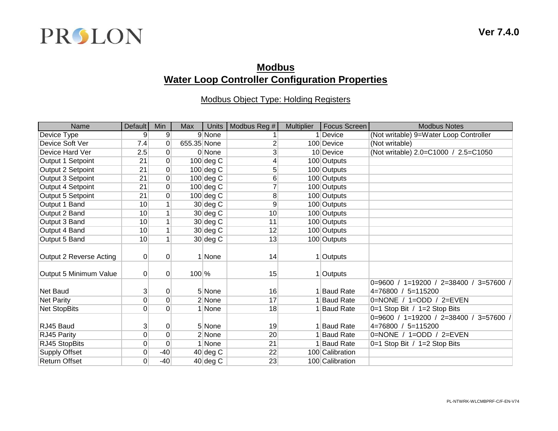

## **Modbus Water Loop Controller Configuration Properties**

## Modbus Object Type: Holding Registers

| Name                    | Default         | Min              | <b>Max</b>  | Units                    | Modbus Reg #   | <b>Multiplier</b> | Focus Screen     | <b>Modbus Notes</b>                    |
|-------------------------|-----------------|------------------|-------------|--------------------------|----------------|-------------------|------------------|----------------------------------------|
| Device Type             | 9               | 9                |             | 9 None                   |                |                   | Device           | (Not writable) 9=Water Loop Controller |
| Device Soft Ver         | 7.4             | 0                | 655.35 None |                          | 2              |                   | 100 Device       | (Not writable)                         |
| Device Hard Ver         | 2.5             | 0                |             | 0 None                   | 3              |                   | 10 Device        | (Not writable) 2.0=C1000 / 2.5=C1050   |
| Output 1 Setpoint       | 21              | $\overline{0}$   |             | $100 \, \text{deg} \, C$ | 4              |                   | 100 Outputs      |                                        |
| Output 2 Setpoint       | 21              | 0                |             | $100$ deg C              | 5              |                   | 100 Outputs      |                                        |
| Output 3 Setpoint       | 21              | 0                |             | $100$ deg C              | $6 \mid$       |                   | 100 Outputs      |                                        |
| Output 4 Setpoint       | 21              | $\boldsymbol{0}$ |             | $100$ deg C              | $\overline{7}$ |                   | 100 Outputs      |                                        |
| Output 5 Setpoint       | 21              | 0                |             | $100 \deg C$             | 8              |                   | 100 Outputs      |                                        |
| Output 1 Band           | 10              |                  |             | $30$ deg C               | 9              |                   | 100 Outputs      |                                        |
| Output 2 Band           | 10              | $\mathbf{1}$     |             | $30$ deg C               | 10             |                   | 100 Outputs      |                                        |
| Output 3 Band           | 10              | $\mathbf{1}$     |             | $30$ deg C               | 11             |                   | 100 Outputs      |                                        |
| Output 4 Band           | 10              |                  |             | $30$ deg C               | 12             |                   | 100 Outputs      |                                        |
| Output 5 Band           | 10 <sup>1</sup> | $\mathbf{1}$     |             | $30$ deg C               | 13             |                   | 100 Outputs      |                                        |
|                         |                 |                  |             |                          |                |                   |                  |                                        |
| Output 2 Reverse Acting | $\overline{0}$  | 0                |             | 1 None                   | 14             |                   | 1 Outputs        |                                        |
|                         |                 |                  |             |                          |                |                   |                  |                                        |
| Output 5 Minimum Value  | $\Omega$        | $\mathbf 0$      | $100\%$     |                          | 15             |                   | 1 Outputs        |                                        |
|                         |                 |                  |             |                          |                |                   |                  | 0=9600 / 1=19200 / 2=38400 / 3=57600 / |
| <b>Net Baud</b>         | 3               | 0                |             | 5 None                   | 16             |                   | <b>Baud Rate</b> | 4=76800 / 5=115200                     |
| <b>Net Parity</b>       | 0               | 0                |             | 2 None                   | 17             |                   | <b>Baud Rate</b> | 0=NONE / 1=ODD / 2=EVEN                |
| Net StopBits            | $\overline{0}$  | $\overline{0}$   |             | 1 None                   | 18             |                   | <b>Baud Rate</b> | 0=1 Stop Bit / 1=2 Stop Bits           |
|                         |                 |                  |             |                          |                |                   |                  | 0=9600 / 1=19200 / 2=38400 / 3=57600 / |
| RJ45 Baud               | 3               | $\pmb{0}$        |             | 5 None                   | 19             |                   | 1 Baud Rate      | 4=76800 / 5=115200                     |
| RJ45 Parity             | 0               | $\mathbf 0$      |             | 2 None                   | 20             |                   | <b>Baud Rate</b> | 0=NONE / 1=ODD / 2=EVEN                |
| RJ45 StopBits           | $\overline{0}$  | $\mathbf 0$      |             | 1 None                   | 21             |                   | <b>Baud Rate</b> | 0=1 Stop Bit / 1=2 Stop Bits           |
| <b>Supply Offset</b>    | 0               | $-40$            |             | $40$ deg C               | 22             |                   | 100 Calibration  |                                        |
| <b>Return Offset</b>    | $\overline{0}$  | $-40$            |             | $40$ deg C               | 23             |                   | 100 Calibration  |                                        |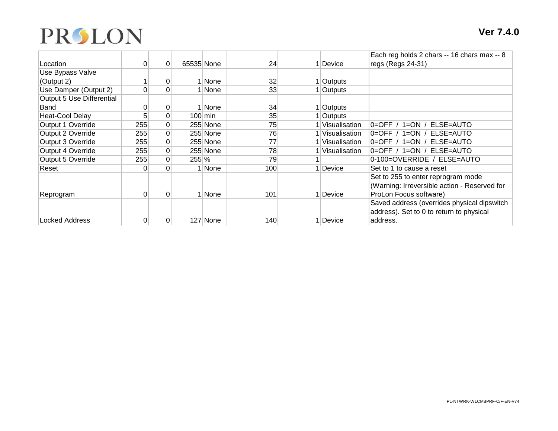

|                           |          |                 |            |             |                 |                 | Each reg holds 2 chars -- 16 chars max -- 8  |
|---------------------------|----------|-----------------|------------|-------------|-----------------|-----------------|----------------------------------------------|
| Location                  |          | $\overline{0}$  | 65535 None |             | 24              | Device          | regs (Regs 24-31)                            |
| Use Bypass Valve          |          |                 |            |             |                 |                 |                                              |
| (Output 2)                |          | 0               |            | <b>None</b> | 32              | Outputs         |                                              |
| Use Damper (Output 2)     | $\Omega$ | 0               |            | None        | 33 <sup>1</sup> | Outputs         |                                              |
| Output 5 Use Differential |          |                 |            |             |                 |                 |                                              |
| Band                      | 0        | 0               |            | <b>None</b> | 34              | l ∣Outputs      |                                              |
| Heat-Cool Delay           | 5        | 0               |            | $100$ min   | 35              | <b>Outputs</b>  |                                              |
| Output 1 Override         | 255      | 0               |            | 255 None    | 75              | 1 Visualisation | $1=ON/$<br>ELSE=AUTO<br>$0=OFF /$            |
| Output 2 Override         | 255      | $\vert 0 \vert$ |            | 255 None    | 76              | 1 Visualisation | $0 =$ OFF / 1=ON /<br>ELSE=AUTO              |
| Output 3 Override         | 255      | $\vert 0 \vert$ |            | 255 None    | 77              | 1 Visualisation | $0=$ OFF /<br>$1=ON/$<br>ELSE=AUTO           |
| Output 4 Override         | 255      | $\overline{0}$  |            | 255 None    | 78              | Visualisation   | 0=OFF / 1=ON / ELSE=AUTO                     |
| Output 5 Override         | 255      | 0               | $255\%$    |             | 79              |                 | 0-100=OVERRIDE / ELSE=AUTO                   |
| Reset                     | $\Omega$ | $\Omega$        |            | l None      | 100             | Device          | Set to 1 to cause a reset                    |
|                           |          |                 |            |             |                 |                 | Set to 255 to enter reprogram mode           |
|                           |          |                 |            |             |                 |                 | (Warning: Irreversible action - Reserved for |
| Reprogram                 | 0        | $\overline{0}$  |            | None        | 101             | Device          | ProLon Focus software)                       |
|                           |          |                 |            |             |                 |                 | Saved address (overrides physical dipswitch  |
|                           |          |                 |            |             |                 |                 | address). Set to 0 to return to physical     |
| Locked Address            |          | 0               |            | 127 None    | 140             | Device          | address.                                     |